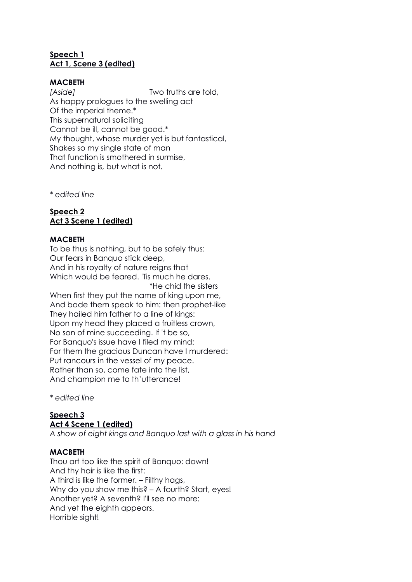## **Speech 1 Act 1, Scene 3 (edited)**

### **MACBETH**

*[Aside]* Two truths are told, As happy prologues to the swelling act Of the imperial theme.\* This supernatural soliciting Cannot be ill, cannot be good.\* My thought, whose murder yet is but fantastical, Shakes so my single state of man That function is smothered in surmise, And nothing is, but what is not.

*\* edited line*

# **Speech 2 Act 3 Scene 1 (edited)**

### **MACBETH**

To be thus is nothing, but to be safely thus: Our fears in Banquo stick deep, And in his royalty of nature reigns that Which would be feared. 'Tis much he dares. \*He chid the sisters

When first they put the name of king upon me, And bade them speak to him: then prophet-like They hailed him father to a line of kinas: Upon my head they placed a fruitless crown, No son of mine succeeding. If 't be so, For Banquo's issue have I filed my mind: For them the gracious Duncan have I murdered: Put rancours in the vessel of my peace. Rather than so, come fate into the list, And champion me to th'utterance!

*\* edited line*

#### **Speech 3 Act 4 Scene 1 (edited)**

*A show of eight kings and Banquo last with a glass in his hand*

### **MACBETH**

Thou art too like the spirit of Banquo: down! And thy hair is like the first: A third is like the former. – Filthy hags, Why do you show me this? – A fourth? Start, eyes! Another yet? A seventh? I'll see no more: And yet the eighth appears. Horrible sight!